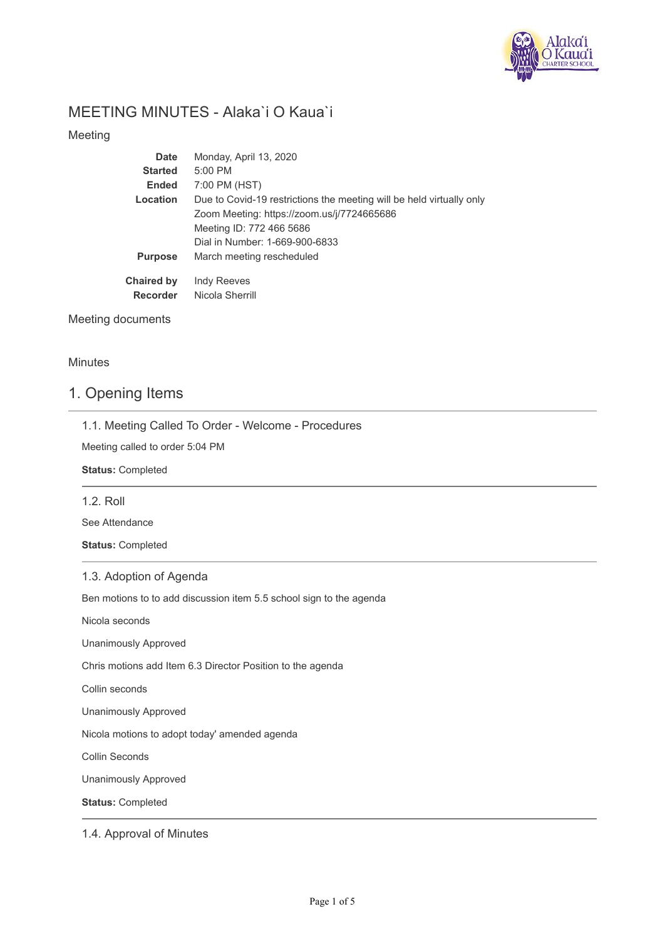

# MEETING MINUTES - Alaka`i O Kaua`i

Meeting

| Date                                 | Monday, April 13, 2020                                               |
|--------------------------------------|----------------------------------------------------------------------|
| <b>Started</b>                       | $5:00$ PM                                                            |
| <b>Ended</b>                         | 7:00 PM (HST)                                                        |
| Location                             | Due to Covid-19 restrictions the meeting will be held virtually only |
|                                      | Zoom Meeting: https://zoom.us/j/7724665686                           |
|                                      | Meeting ID: 772 466 5686                                             |
|                                      | Dial in Number: 1-669-900-6833                                       |
| <b>Purpose</b>                       | March meeting rescheduled                                            |
| <b>Chaired by</b><br><b>Recorder</b> | Indy Reeves<br>Nicola Sherrill                                       |

### Meeting documents

**Minutes** 

# 1. Opening Items

| 1.1. Meeting Called To Order - Welcome - Procedures |  |  |  |  |
|-----------------------------------------------------|--|--|--|--|
|-----------------------------------------------------|--|--|--|--|

Meeting called to order 5:04 PM

**Status:** Completed

1.2. Roll

See Attendance

**Status:** Completed

### 1.3. Adoption of Agenda

Ben motions to to add discussion item 5.5 school sign to the agenda

Nicola seconds

Unanimously Approved

Chris motions add Item 6.3 Director Position to the agenda

Collin seconds

Unanimously Approved

Nicola motions to adopt today' amended agenda

Collin Seconds

Unanimously Approved

**Status:** Completed

1.4. Approval of Minutes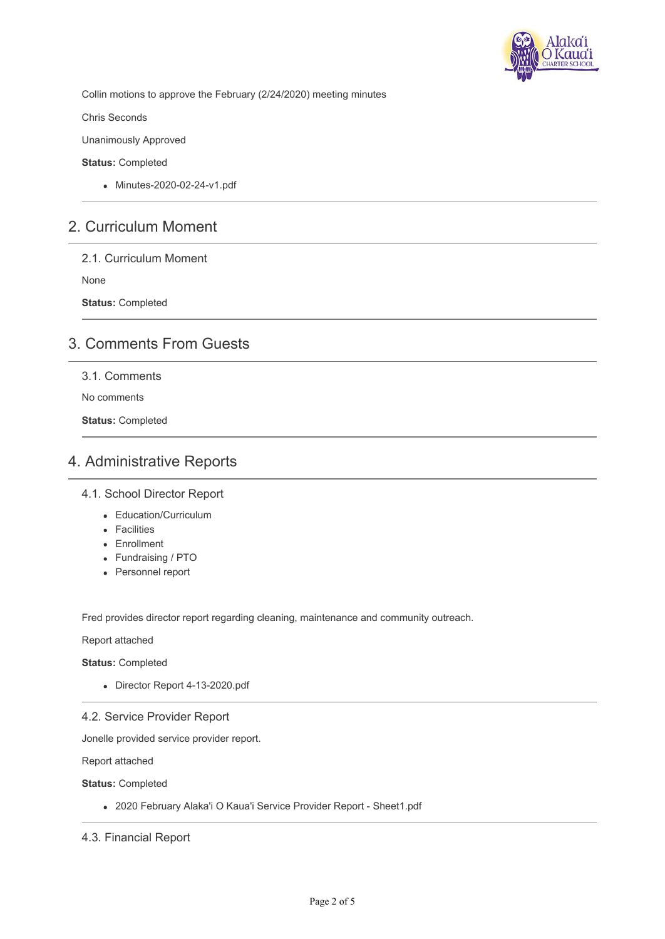

Collin motions to approve the February (2/24/2020) meeting minutes

Chris Seconds

Unanimously Approved

#### **Status:** Completed

Minutes-2020-02-24-v1.pdf

## 2. Curriculum Moment

### 2.1. Curriculum Moment

None

**Status:** Completed

# 3. Comments From Guests

3.1. Comments

No comments

**Status:** Completed

# 4. Administrative Reports

### 4.1. School Director Report

- Education/Curriculum
- Facilities
- Enrollment
- Fundraising / PTO
- Personnel report

Fred provides director report regarding cleaning, maintenance and community outreach.

Report attached

**Status:** Completed

Director Report 4-13-2020.pdf

### 4.2. Service Provider Report

Jonelle provided service provider report.

Report attached

**Status:** Completed

2020 February Alaka'i O Kaua'i Service Provider Report - Sheet1.pdf

4.3. Financial Report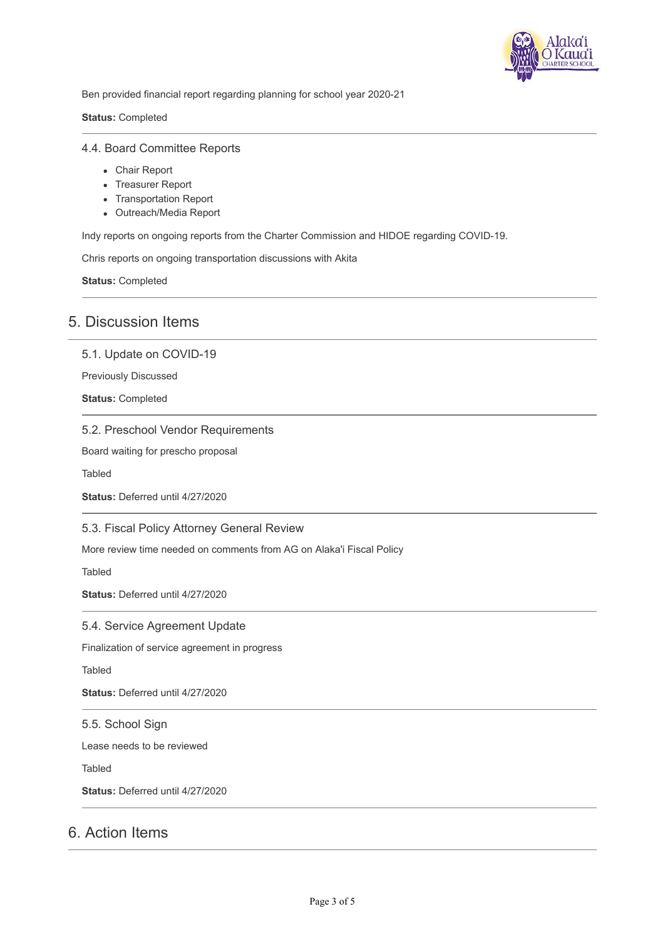

Ben provided financial report regarding planning for school year 2020-21

**Status:** Completed

### 4.4. Board Committee Reports

- Chair Report
- Treasurer Report
- Transportation Report
- Outreach/Media Report

Indy reports on ongoing reports from the Charter Commission and HIDOE regarding COVID-19.

Chris reports on ongoing transportation discussions with Akita

**Status:** Completed

### 5. Discussion Items

5.1. Update on COVID-19

Previously Discussed

**Status:** Completed

5.2. Preschool Vendor Requirements

Board waiting for prescho proposal

Tabled

**Status:** Deferred until 4/27/2020

### 5.3. Fiscal Policy Attorney General Review

More review time needed on comments from AG on Alaka'i Fiscal Policy

Tabled

**Status:** Deferred until 4/27/2020

5.4. Service Agreement Update

Finalization of service agreement in progress

Tabled

**Status:** Deferred until 4/27/2020

5.5. School Sign

Lease needs to be reviewed

Tabled

**Status:** Deferred until 4/27/2020

## 6. Action Items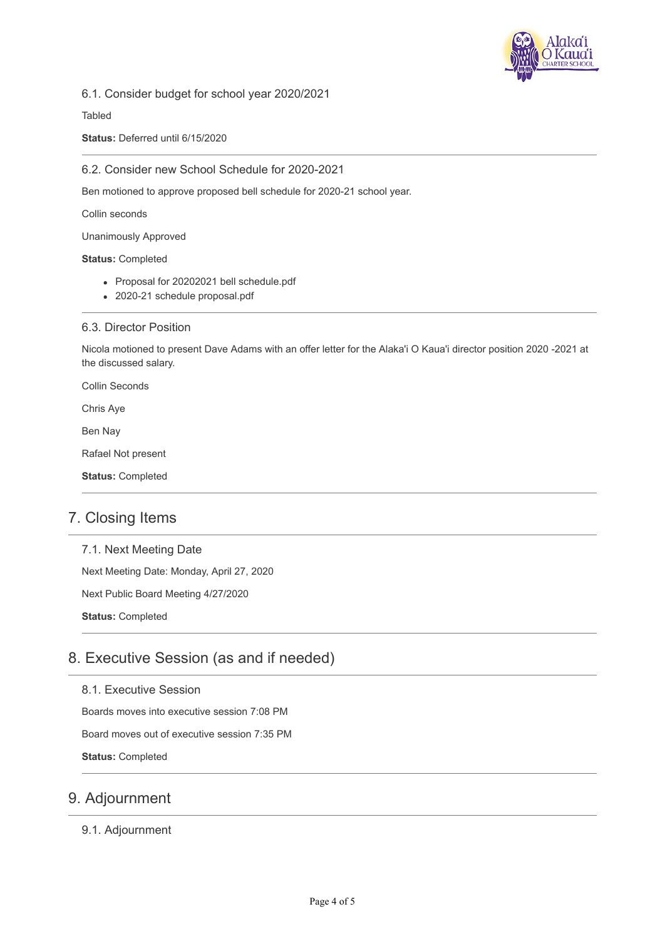

6.1. Consider budget for school year 2020/2021

Tabled

**Status:** Deferred until 6/15/2020

### 6.2. Consider new School Schedule for 2020-2021

Ben motioned to approve proposed bell schedule for 2020-21 school year.

Collin seconds

Unanimously Approved

**Status:** Completed

- Proposal for 20202021 bell schedule.pdf
- 2020-21 schedule proposal.pdf

### 6.3. Director Position

Nicola motioned to present Dave Adams with an offer letter for the Alaka'i O Kaua'i director position 2020 -2021 at the discussed salary.

Collin Seconds

Chris Aye

Ben Nay

Rafael Not present

**Status:** Completed

# 7. Closing Items

### 7.1. Next Meeting Date

Next Meeting Date: Monday, April 27, 2020

Next Public Board Meeting 4/27/2020

**Status:** Completed

## 8. Executive Session (as and if needed)

8.1. Executive Session Boards moves into executive session 7:08 PM Board moves out of executive session 7:35 PM **Status:** Completed

### 9. Adjournment

### 9.1. Adjournment